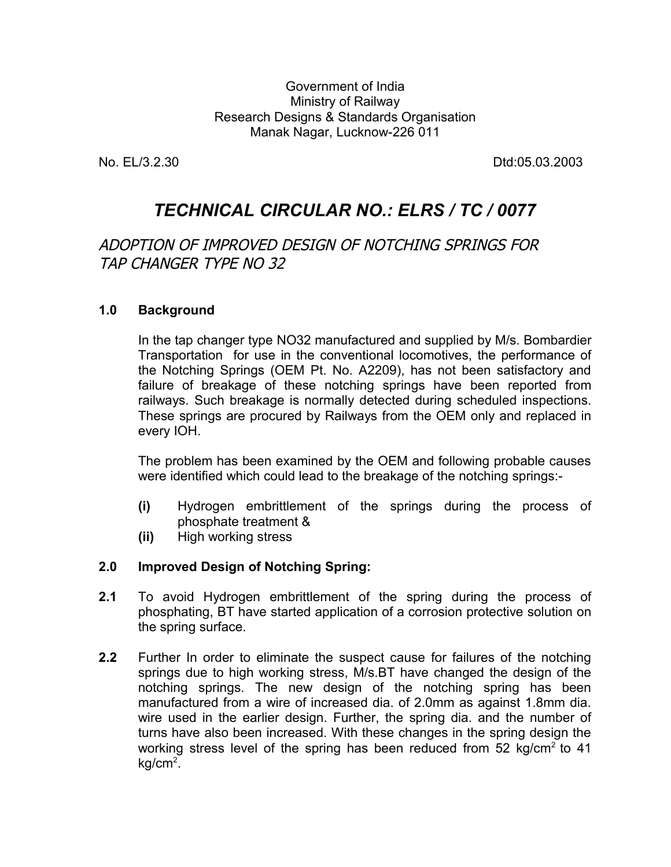Government of India Ministry of Railway Research Designs & Standards Organisation Manak Nagar, Lucknow-226 011

No. EL/3.2.30 Dtd:05.03.2003

# *TECHNICAL CIRCULAR NO.: ELRS / TC / 0077*

# ADOPTION OF IMPROVED DESIGN OF NOTCHING SPRINGS FOR TAP CHANGER TYPE NO 32

#### **1.0 Background**

In the tap changer type NO32 manufactured and supplied by M/s. Bombardier Transportation for use in the conventional locomotives, the performance of the Notching Springs (OEM Pt. No. A2209), has not been satisfactory and failure of breakage of these notching springs have been reported from railways. Such breakage is normally detected during scheduled inspections. These springs are procured by Railways from the OEM only and replaced in every IOH.

The problem has been examined by the OEM and following probable causes were identified which could lead to the breakage of the notching springs:-

- **(i)** Hydrogen embrittlement of the springs during the process of phosphate treatment &
- **(ii)** High working stress

#### **2.0 Improved Design of Notching Spring:**

- **2.1** To avoid Hydrogen embrittlement of the spring during the process of phosphating, BT have started application of a corrosion protective solution on the spring surface.
- **2.2** Further In order to eliminate the suspect cause for failures of the notching springs due to high working stress, M/s.BT have changed the design of the notching springs. The new design of the notching spring has been manufactured from a wire of increased dia. of 2.0mm as against 1.8mm dia. wire used in the earlier design. Further, the spring dia. and the number of turns have also been increased. With these changes in the spring design the working stress level of the spring has been reduced from  $52 \text{ kg/cm}^2$  to  $41$  $kg/cm<sup>2</sup>$ .